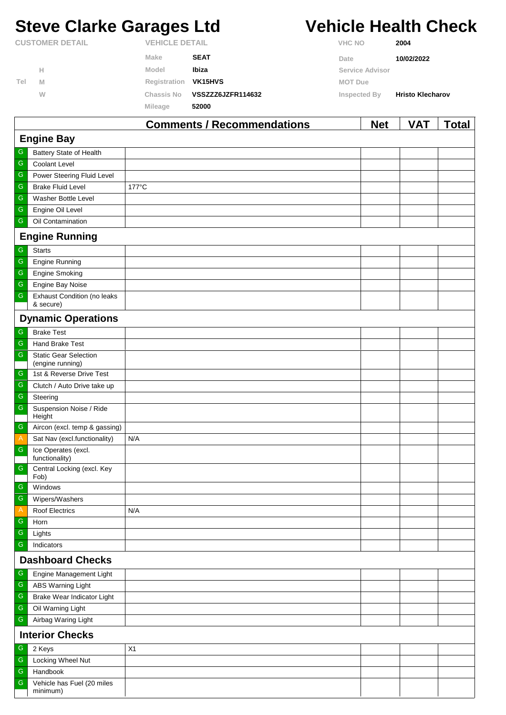# **Steve Clarke Garages Ltd Vehicle Health Check**

|                        |   |                       | Comments / Recommendations | <b>Net</b>      | VAT                     | Total |
|------------------------|---|-----------------------|----------------------------|-----------------|-------------------------|-------|
|                        |   | Mileage               | 52000                      |                 |                         |       |
|                        | W | Chassis No            | VSSZZZ6JZFR114632          | Inspected By    | <b>Hristo Klecharov</b> |       |
| Tel                    | M | Registration          | <b>VK15HVS</b>             | MOT Due         |                         |       |
|                        | н | Model                 | Ibiza                      | Service Advisor |                         |       |
|                        |   | Make                  | <b>SEAT</b>                | Date            | 10/02/2022              |       |
| <b>CUSTOMER DETAIL</b> |   | <b>VEHICLE DETAIL</b> |                            | <b>VHC NO</b>   | 2004                    |       |

|                   |                                                  | Comments / Recommendations | <b>Net</b> | <b>VAI</b> | I otal |  |  |  |
|-------------------|--------------------------------------------------|----------------------------|------------|------------|--------|--|--|--|
| <b>Engine Bay</b> |                                                  |                            |            |            |        |  |  |  |
| G                 | Battery State of Health                          |                            |            |            |        |  |  |  |
| ${\mathsf G}$     | <b>Coolant Level</b>                             |                            |            |            |        |  |  |  |
| $\mathsf G$       | Power Steering Fluid Level                       |                            |            |            |        |  |  |  |
| ${\mathsf G}$     | <b>Brake Fluid Level</b>                         | 177°C                      |            |            |        |  |  |  |
| ${\mathsf G}$     | Washer Bottle Level                              |                            |            |            |        |  |  |  |
| ${\mathsf G}$     | Engine Oil Level                                 |                            |            |            |        |  |  |  |
| ${\mathsf G}$     | Oil Contamination                                |                            |            |            |        |  |  |  |
|                   | <b>Engine Running</b>                            |                            |            |            |        |  |  |  |
| G                 | <b>Starts</b>                                    |                            |            |            |        |  |  |  |
| ${\mathsf G}$     | <b>Engine Running</b>                            |                            |            |            |        |  |  |  |
| ${\mathsf G}$     | Engine Smoking                                   |                            |            |            |        |  |  |  |
| ${\mathsf G}$     | Engine Bay Noise                                 |                            |            |            |        |  |  |  |
| ${\mathsf G}$     | <b>Exhaust Condition (no leaks</b><br>& secure)  |                            |            |            |        |  |  |  |
|                   | <b>Dynamic Operations</b>                        |                            |            |            |        |  |  |  |
| G                 | <b>Brake Test</b>                                |                            |            |            |        |  |  |  |
| ${\mathsf G}$     | Hand Brake Test                                  |                            |            |            |        |  |  |  |
| ${\mathsf G}$     | <b>Static Gear Selection</b><br>(engine running) |                            |            |            |        |  |  |  |
| G                 | 1st & Reverse Drive Test                         |                            |            |            |        |  |  |  |
| ${\mathsf G}$     | Clutch / Auto Drive take up                      |                            |            |            |        |  |  |  |
| ${\mathsf G}$     | Steering                                         |                            |            |            |        |  |  |  |
| ${\mathsf G}$     | Suspension Noise / Ride                          |                            |            |            |        |  |  |  |
| G                 | Height<br>Aircon (excl. temp & gassing)          |                            |            |            |        |  |  |  |
| $\overline{A}$    | Sat Nav (excl.functionality)                     | N/A                        |            |            |        |  |  |  |
| ${\mathsf G}$     | Ice Operates (excl.                              |                            |            |            |        |  |  |  |
|                   | functionality)                                   |                            |            |            |        |  |  |  |
| ${\mathsf G}$     | Central Locking (excl. Key<br>Fob)               |                            |            |            |        |  |  |  |
| G                 | Windows                                          |                            |            |            |        |  |  |  |
| $\mathsf G$       | Wipers/Washers                                   |                            |            |            |        |  |  |  |
| $\mathsf{A}$      | Roof Electrics                                   | N/A                        |            |            |        |  |  |  |
| ${\mathsf G}$     | Horn                                             |                            |            |            |        |  |  |  |
| ${\mathsf G}$     | Lights                                           |                            |            |            |        |  |  |  |
| ${\mathsf G}$     | Indicators                                       |                            |            |            |        |  |  |  |
|                   | <b>Dashboard Checks</b>                          |                            |            |            |        |  |  |  |
| ${\mathsf G}$     | Engine Management Light                          |                            |            |            |        |  |  |  |
| ${\mathsf G}$     | <b>ABS Warning Light</b>                         |                            |            |            |        |  |  |  |
| ${\mathsf G}$     | Brake Wear Indicator Light                       |                            |            |            |        |  |  |  |
| ${\mathsf G}$     | Oil Warning Light                                |                            |            |            |        |  |  |  |
| ${\mathsf G}$     | Airbag Waring Light                              |                            |            |            |        |  |  |  |
|                   | <b>Interior Checks</b>                           |                            |            |            |        |  |  |  |
| G                 | 2 Keys                                           | X1                         |            |            |        |  |  |  |
| ${\mathsf G}$     | Locking Wheel Nut                                |                            |            |            |        |  |  |  |
| ${\mathsf G}$     | Handbook                                         |                            |            |            |        |  |  |  |
| G                 | Vehicle has Fuel (20 miles<br>minimum)           |                            |            |            |        |  |  |  |